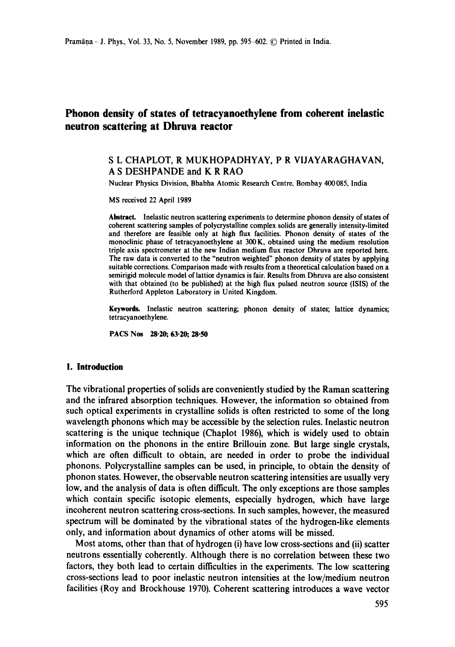# **Phonon density of states of tetracyanoethylene from coherent inelastic neutron scattering at Dhruva reactor**

#### S L CHAPLOT, R MUKHOPADHYAY, P R VIJAYARAGHAVAN, A S DESHPANDE and K R RAO

Nuclear Physics Division, Bhabha Atomic Research Centre, Bombay 400085, India

MS received 22 April 1989

**Abstract.** Inelastic neutron scattering experiments to determine phonon density of states of coherent scattering samples of polycrystalline complex solids are generally intensity-limited and therefore are feasible only at high flux facilities. Phonon density of states of the monoclinic phase of tetracyanoethylene at 300 K, obtained using the medium resolution triple axis spectrometer at the new Indian medium flux reactor Dhruva are reported here. The raw data is converted to the "neutron weighted" phonon density of states by applying suitable corrections. Comparison made with results from a theoretical calculation based on a semirigid molecule model of lattice dynamics is fair. Results from Dhruva are also consistent with that obtained (to be published) at the high flux pulsed neutron source (ISIS) of the Rutherford Appleton Laboratory in United Kingdom.

Keywords. Inelastic neutron scattering; phonon density of states; lattice dynamics; tetracyanoethylene.

PACS Nos 28-20; 63.20; 28-50

#### **1. Introduction**

The vibrational properties of solids are conveniently studied by the Raman scattering and the infrared absorption techniques. However, the information so obtained from such optical experiments in crystalline solids is often restricted to some of the long wavelength phonons which may be accessible by the selection rules. Inelastic neutron scattering is the unique technique (Chaplot 1986), which is widely used to obtain information on the phonons in the entire Brillouin zone. But large single crystals, which are often difficult to obtain, are needed in order to probe the individual phonons. Polycrystalline samples can be used, in principle, to obtain the density of phonon states. However, the observable neutron scattering intensities are usually very low, and the analysis of data is often difficult. The only exceptions are those samples which contain specific isotopic elements, especially hydrogen, which have large incoherent neutron scattering cross-sections. In such samples, however, the measured spectrum will be dominated by the vibrational states of the hydrogen-like elements only, and information about dynamics of other atoms will be missed.

Most atoms, other than that of hydrogen (i) have low cross-sections and (ii) scatter neutrons essentially coherently. Although there is no correlation between these two factors, they both lead to certain difficulties in the experiments. The low scattering cross-sections lead to poor inelastic neutron intensities at the low/medium neutron facilities (Roy and Brockhouse 1970). Coherent scattering introduces a wave vector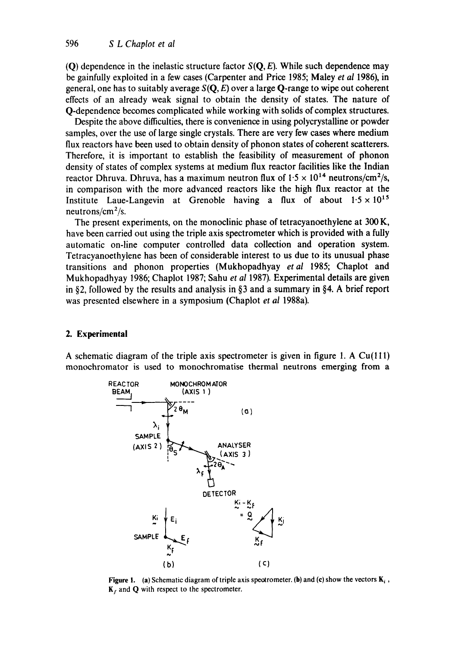(O) dependence in the inelastic structure factor  $S(Q, E)$ . While such dependence may be gainfully exploited in a few cases (Carpenter and Price 1985; Maley *et al* 1986), in general, one has to suitably average  $S(Q, E)$  over a large Q-range to wipe out coherent effects of an already weak signal to obtain the density of states. The nature of Q-dependence becomes complicated while working with solids of complex structures.

Despite the above difficulties, there is convenience in using polycrystalline or powder samples, over the use of large single crystals. There are very few cases where medium flux reactors have been used to obtain density of phonon states of coherent scatterers. Therefore, it is important to establish the feasibility of measurement of phonon density of states of complex systems at medium flux reactor facilities like the Indian reactor Dhruva. Dhruva, has a maximum neutron flux of  $1.5 \times 10^{14}$  neutrons/cm<sup>2</sup>/s, in comparison with the more advanced reactors like the high flux reactor at the Institute Laue-Langevin at Grenoble having a flux of about  $1.5 \times 10^{15}$ neutrons/ $\text{cm}^2/\text{s}$ .

The present experiments, on the monoclinic phase of tetracyanoethylene at 300 K, have been carried out using the triple axis spectrometer which is provided with a fully automatic on-line computer controlled data collection and operation system. Tetracyanoethylene has been of considerable interest to us due to its unusual phase transitions and phonon properties (Mukhopadhyay *etal* 1985; Chaplot and Mukhopadhyay 1986; Chaplot 1987; Sahu *et al* 1987). Experimental details are given in §2, followed by the results and analysis in §3 and a summary in §4. A brief report was presented elsewhere in a symposium (Chaplot *et al* 1988a).

## **2. Experimental**

A schematic diagram of the triple axis spectrometer is given in figure 1. A  $Cu(111)$ monochromator is used to monochromatise thermal neutrons emerging from a



**Figure 1.** (a) Schematic diagram of triple axis spectrometer. (b) and (c) show the vectors  $\mathbf{K}_i$ ,  $K_f$  and Q with respect to the spectrometer.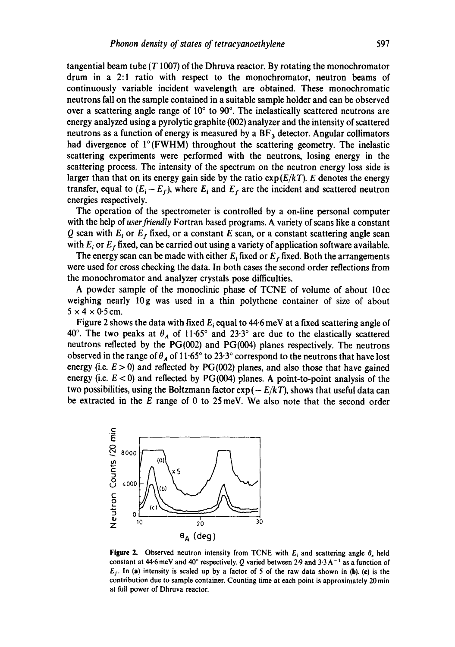tangential beam tube ( $T$  1007) of the Dhruva reactor. By rotating the monochromator drum in a 2:1 ratio with respect to the monochromator, neutron beams of continuously variable incident wavelength are obtained. These monochromatic neutrons fall on the sample contained in a suitable sample holder and can be observed over a scattering angle range of  $10^{\circ}$  to  $90^{\circ}$ . The inelastically scattered neutrons are energy analyzed using a pyrolytic graphite (002) analyzer and the intensity of scattered neutrons as a function of energy is measured by a  $BF<sub>3</sub>$  detector. Angular collimators had divergence of I°(FWHM) throughout the scattering geometry. The inelastic scattering experiments were performed with the neutrons, losing energy in the scattering process. The intensity of the spectrum on the neutron energy loss side is larger than that on its energy gain side by the ratio  $exp(E/kT)$ . E denotes the energy transfer, equal to  $(E_i - E_f)$ , where  $E_i$  and  $E_f$  are the incident and scattered neutron energies respectively.

The operation of the spectrometer is controlled by a on-line personal computer with the help of *user friendly* Fortran based programs. A variety of scans like a constant Q scan with  $E_i$  or  $E_f$  fixed, or a constant E scan, or a constant scattering angle scan with  $E_i$  or  $E_f$  fixed, can be carried out using a variety of application software available.

The energy scan can be made with either  $E_i$  fixed or  $E_f$  fixed. Both the arrangements were used for cross checking the data. In both cases the second order reflections from the monochromator and analyzer crystals pose difficulties.

A powder sample of the monoclinic phase of TCNE of volume of about 10cc weighing nearly 10g was used in a thin polythene container of size of about  $5 \times 4 \times 0.5$  cm.

Figure 2 shows the data with fixed  $E_i$  equal to 44.6 meV at a fixed scattering angle of 40°. The two peaks at  $\theta_A$  of 11.65° and 23.3° are due to the elastically scattered neutrons reflected by the PG(002) and PG(004) planes respectively. The neutrons observed in the range of  $\theta_A$  of 11.65° to 23.3° correspond to the neutrons that have lost energy (i.e.  $E > 0$ ) and reflected by PG(002) planes, and also those that have gained energy (i.e.  $E < 0$ ) and reflected by PG(004) planes. A point-to-point analysis of the two possibilities, using the Boltzmann factor  $exp(-E/kT)$ , shows that useful data can be extracted in the E range of 0 to 25 meV. We also note that the second order



**Figure 2.** Observed neutron intensity from TCNE with  $E_i$  and scattering angle  $\theta_s$  held constant at 44.6 meV and 40° respectively. Q varied between 2.9 and 3.3 A<sup>-1</sup> as a function of  $E_f$ . In (a) intensity is scaled up by a factor of 5 of the raw data shown in (b). (c) is the contribution due to sample container. Counting time at each point is approximately 20 min at full power of Dhruva reactor.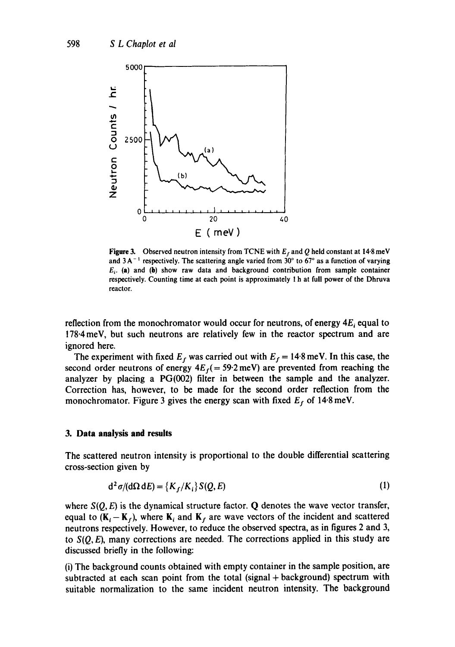

Figure 3. Observed neutron intensity from TCNE with  $E_f$  and Q held constant at 14.8 meV and  $3A^{-1}$  respectively. The scattering angle varied from 30° to 67° as a function of varying  $E_{i}$ . (a) and (b) show raw data and background contribution from sample container respectively. Counting time at each point is approximately 1 h at full power of the Dhruva reactor.

reflection from the monochromator would occur for neutrons, of energy  $4E_i$  equal to 178.4meV, but such neutrons are relatively few in the reactor spectrum and are ignored here.

The experiment with fixed  $E_f$  was carried out with  $E_f = 14.8$  meV. In this case, the second order neutrons of energy  $4E_f$  = 59.2 meV) are prevented from reaching the analyzer by placing a PG(002) filter in between the sample and the analyzer. Correction has, however, to be made for the second order reflection from the monochromator. Figure 3 gives the energy scan with fixed  $E_f$  of 14.8 meV.

#### **3. Data analysis and results**

The scattered neutron intensity is proportional to the double differential scattering cross-section given by

$$
d^2 \sigma/(d\Omega dE) = \{K_f/K_i\} S(Q, E)
$$
 (1)

where  $S(Q, E)$  is the dynamical structure factor. Q denotes the wave vector transfer, equal to  $(K_i - K_f)$ , where  $K_i$  and  $K_f$  are wave vectors of the incident and scattered neutrons respectively. However, to reduce the observed spectra, as in figures 2 and 3, to  $S(Q, E)$ , many corrections are needed. The corrections applied in this study are discussed briefly in the following:

(i) The background counts obtained with empty container in the sample position, are subtracted at each scan point from the total (signal + background) spectrum with suitable normalization to the same incident neutron intensity. The background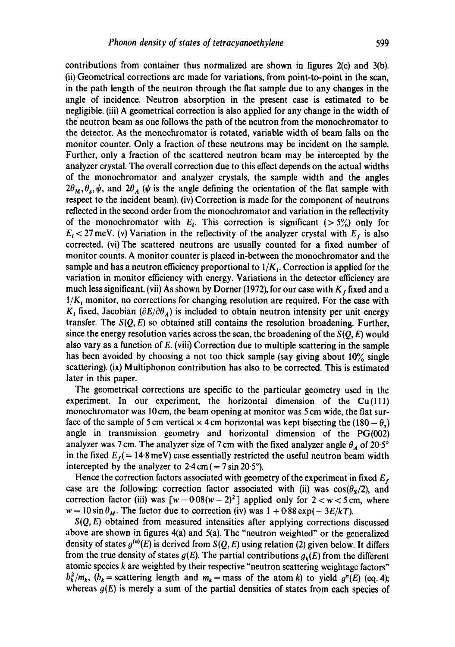contributions from container thus normalized are shown in figures 2(c) and 3(b). (ii) Geometrical corrections are made for variations, from point-to-point in the scan, in the path length of the neutron through the fiat sample due to any changes in the angle of incidence. Neutron absorption in the present case is estimated to be negligible. (iii) A geometrical correction is also applied for any change in the width of the neutron beam as one follows the path of the neutron from the monochromator to the detector. As the monochromator is rotated, variable width of beam falls on the monitor counter. Only a fraction of these neutrons may be incident on the sample. Further, only a fraction of the scattered neutron beam may be intercepted by the analyzer crystal. The overall correction due to this effect depends on the actual widths of the monochromator and analyzer crystals, the sample width and the angles  $2\theta_M, \theta_s, \psi$ , and  $2\theta_A$  ( $\psi$  is the angle defining the orientation of the flat sample with respect to the incident beam). (iv) Correction is made for the component of neutrons reflected in the second order from the monochromator and variation in the reflectivity of the monochromator with  $E_i$ . This correction is significant ( $> 5\%$ ) only for  $E_i < 27$  meV. (v) Variation in the reflectivity of the analyzer crystal with  $E_f$  is also corrected. (vi)The scattered neutrons are usually counted for a fixed number of monitor counts. A monitor counter is placed in-between the monochromator and the sample and has a neutron efficiency proportional to  $1/K<sub>i</sub>$ . Correction is applied for the variation in monitor efficiency with energy. Variations in the detector efficiency are much less significant. (vii) As shown by Dorner (1972), for our case with  $K<sub>f</sub>$  fixed and a  $1/K_i$  monitor, no corrections for changing resolution are required. For the case with  $K_i$  fixed, Jacobian  $(\partial E/\partial \theta_A)$  is included to obtain neutron intensity per unit energy transfer. The *S(Q, E)* so obtained still contains the resolution broadening. Further, since the energy resolution varies across the scan, the broadening of the *S(Q, E)* would also vary as a function of E. (viii) Correction due to multiple scattering in the sample has been avoided by choosing a not too thick sample (say giving about  $10\%$  single scattering). (ix) Multiphonon contribution has also to be corrected. This is estimated later in this paper.

The geometrical corrections are specific to the particular geometry used in the experiment. In our experiment, the horizontal dimension of the  $Cu(111)$ monochromator was 10 cm, the beam opening at monitor was 5 cm wide, the flat surface of the sample of 5 cm vertical  $\times$  4 cm horizontal was kept bisecting the (180 –  $\theta$ ) angle in transmission geometry and horizontal dimension of the PG(002) analyzer was 7 cm. The analyzer size of 7 cm with the fixed analyzer angle  $\theta_A$  of 20.5° in the fixed  $E_f$  = 14.8 meV) case essentially restricted the useful neutron beam width intercepted by the analyzer to  $2.4 \text{ cm} (= 7 \sin 20.5^{\circ})$ .

Hence the correction factors associated with geometry of the experiment in fixed *E:*  case are the following: correction factor associated with (ii) was  $cos(\theta_s/2)$ , and correction factor (iii) was  $[w - 0.08(w - 2)^2]$  applied only for  $2 < w < 5$  cm, where  $w = 10 \sin \theta_M$ . The factor due to correction (iv) was  $1 + 0.88 \exp(-3E/kT)$ .

*S(Q, E)* obtained from measured intensities after applying corrections discussed above are shown in figures 4(a) and 5(a). The "neutron weighted" or the generalized density of states  $g^{(n)}(E)$  is derived from  $S(Q, E)$  using relation (2) given below. It differs from the true density of states  $g(E)$ . The partial contributions  $g_k(E)$  from the different atomic species k are weighted by their respective "neutron scattering weightage factors"  $b_k^2/m_k$ ,  $(b_k = \text{scattering length and } m_k = \text{mass of the atom } k$  to yield  $g^n(E)$  (eq. 4); whereas  $g(E)$  is merely a sum of the partial densities of states from each species of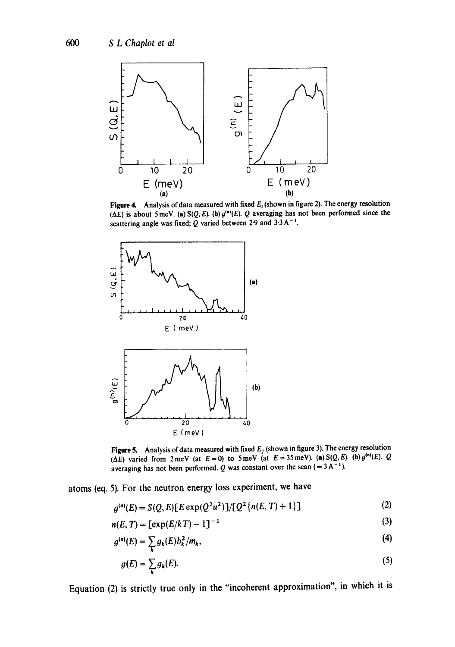

Figure 4. Analysis of data measured with fixed  $E_i$  (shown in figure 2). The energy resolution ( $\Delta E$ ) is about 5 meV. (a) S(Q, E). (b)  $g^{(n)}(E)$ . Q averaging has not been performed since the scattering angle was fixed; Q varied between 2.9 and  $3.3 \text{ A}^{-1}$ .



Figure 5. Analysis of data measured with fixed  $E_f$  (shown in figure 3). The energy resolution ( $\Delta E$ ) varied from 2 meV (at  $E = 0$ ) to 5 meV (at  $E = 35$  meV). (a) S(Q, E). (b)  $g^{(n)}(E)$ . Q averaging has not been performed. Q was constant over the scan  $(=3A^{-1})$ .

atoms (eq. 5). For the neutron energy loss experiment, we have

$$
a^{(n)}(E) = S(Q, E)\left[E \exp(Q^2 u^2)\right]/\left[Q^2\left\{n(E, T) + 1\right\}\right]
$$
 (2)

$$
n(E, T) = \left[\exp(E/kT) - 1\right]^{-1}
$$
 (3)

$$
g^{(n)}(E) = \sum_{k} g_k(E) b_k^2 / m_k, \qquad (4)
$$

$$
g(E) = \sum_{k} g_k(E). \tag{5}
$$

Equation (2) is strictly true only in the "incoherent approximation", in which it is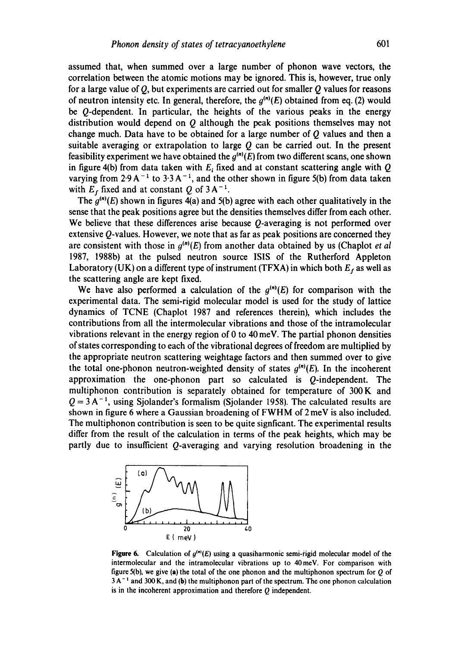assumed that, when summed over a large number of phonon wave vectors, the correlation between the atomic motions may be ignored. This is, however, true only for a large value of  $Q$ , but experiments are carried out for smaller  $Q$  values for reasons of neutron intensity etc. In general, therefore, the  $g^{(n)}(E)$  obtained from eq. (2) would be Q-dependent. In particular, the heights of the various peaks in the energy distribution would depend on  $Q$  although the peak positions themselves may not change much. Data have to be obtained for a large number of  *values and then a* suitable averaging or extrapolation to large  $Q$  can be carried out. In the present feasibility experiment we have obtained the  $g^{(n)}(E)$  from two different scans, one shown in figure 4(b) from data taken with  $E_i$  fixed and at constant scattering angle with  $Q$ varying from  $2.9 \text{ A}^{-1}$  to  $3.3 \text{ A}^{-1}$ , and the other shown in figure 5(b) from data taken with  $E_f$  fixed and at constant Q of 3 A<sup>-1</sup>.

The  $g^{(n)}(E)$  shown in figures 4(a) and 5(b) agree with each other qualitatively in the sense that the peak positions agree but the densities themselves differ from each other. We believe that these differences arise because Q-averaging is not performed over extensive  $Q$ -values. However, we note that as far as peak positions are concerned they are consistent with those in  $g^{(n)}(E)$  from another data obtained by us (Chaplot *et al* 1987, 1988b) at the pulsed neutron source ISIS of the Rutherford Appleton Laboratory (UK) on a different type of instrument (TFXA) in which both  $E_f$  as well as the scattering angle are kept fixed.

We have also performed a calculation of the  $g^{(n)}(E)$  for comparison with the experimental data. The semi-rigid molecular model is used for the study of lattice dynamics of TCNE (Chaplot 1987 and references therein), which includes the contributions from all the intermolecular vibrations and those of the intramolecular vibrations relevant in the energy region of 0 to 40 meV. The partial phonon densities of states corresponding to each of the vibrational degrees of freedom are multiplied by the appropriate neutron scattering weightage factors and then summed over to give the total one-phonon neutron-weighted density of states  $g^{(n)}(E)$ . In the incoherent approximation the one-phonon part so calculated is Q-independent. The multiphonon contribution is separately obtained for temperature of 300K and  $Q = 3 A^{-1}$ , using Sjolander's formalism (Sjolander 1958). The calculated results are shown in figure 6 where a Gaussian broadening of FWHM of 2 meV is also included. The multiphonon contribution is seen to be quite signficant. The experimental results differ from the result of the calculation in terms of the peak heights, which may be partly due to insufficient Q-averaging and varying resolution broadening in the



**Figure 6.** Calculation of  $g^{(n)}(E)$  using a quasiharmonic semi-rigid molecular model of the intermolecular and the intramolecular vibrations up to 40meV. For comparison with figure 5(b), we give (a) the total of the one phonon and the multiphonon spectrum for  $Q$  of  $3\text{A}^{-1}$  and 300 K, and (b) the multiphonon part of the spectrum. The one phonon calculation is in the incoherent approximation and therefore Q independent.